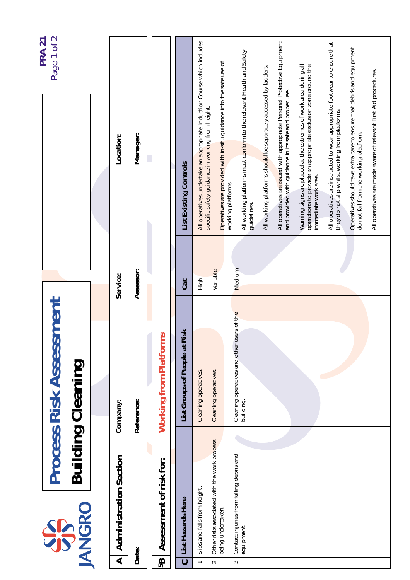| Page 1 of 2<br><b>PRA 21</b>                               | Location:                                                | Manager:   |                               |                                  | All operatives undertake an appropriate Induction Course which includes<br>specific safety guidance in working from height. | Operatives are provided with in-situ guidance into the safe use of          | All working platforms must conform to the relevant Health and Safety | All working platforms should be separately accessed by ladders. | All operatives are issued with appropriate Personal Protective Equipment<br>and provided with guidance in its safe and proper use. | Warning signs are placed at the extremes of work area during all<br>operations to provide an appropriate exclusion zone around the | All operatives are instructed to wear appropriate footwear to ensure that<br>they do not slip whilst working from platforms. | Operatives should take extra care to ensure that debris and equipment | All operatives are made aware of relevant First Aid procedures. |
|------------------------------------------------------------|----------------------------------------------------------|------------|-------------------------------|----------------------------------|-----------------------------------------------------------------------------------------------------------------------------|-----------------------------------------------------------------------------|----------------------------------------------------------------------|-----------------------------------------------------------------|------------------------------------------------------------------------------------------------------------------------------------|------------------------------------------------------------------------------------------------------------------------------------|------------------------------------------------------------------------------------------------------------------------------|-----------------------------------------------------------------------|-----------------------------------------------------------------|
|                                                            |                                                          |            |                               | List Existing Controls           |                                                                                                                             |                                                                             | working platforms.<br>guidelines.                                    |                                                                 |                                                                                                                                    | immediate work area.                                                                                                               |                                                                                                                              | do not fall from the working platfrom.                                |                                                                 |
|                                                            | Service:                                                 | Assessor:  |                               | <b>Cat</b>                       | High                                                                                                                        | Variable                                                                    | Medium                                                               |                                                                 |                                                                                                                                    |                                                                                                                                    |                                                                                                                              |                                                                       |                                                                 |
| <b>Process Risk Assessment</b><br><b>Building Cleaning</b> | Company:                                                 | Reference: | <b>Working from Platforms</b> | Risk<br>List Groups of People at | Cleaning operatives.                                                                                                        | Cleaning operatives.                                                        | users of the<br>Cleaning operatives and other<br>building.           |                                                                 |                                                                                                                                    |                                                                                                                                    |                                                                                                                              |                                                                       |                                                                 |
| <b>IANGRO</b><br>SP                                        | <b>Administration Section</b><br>$\overline{\mathbf{A}}$ | Date:      | Assessment of risk for:<br>8g | List Hazards Here<br>$\mathbf C$ | Slips and falls from height.<br>$\overline{\phantom{0}}$                                                                    | Other risks associated with the work process<br>being undertaken.<br>$\sim$ | Contact injuries from falling debris and<br>equipment.<br>$\sim$     |                                                                 |                                                                                                                                    |                                                                                                                                    |                                                                                                                              |                                                                       |                                                                 |